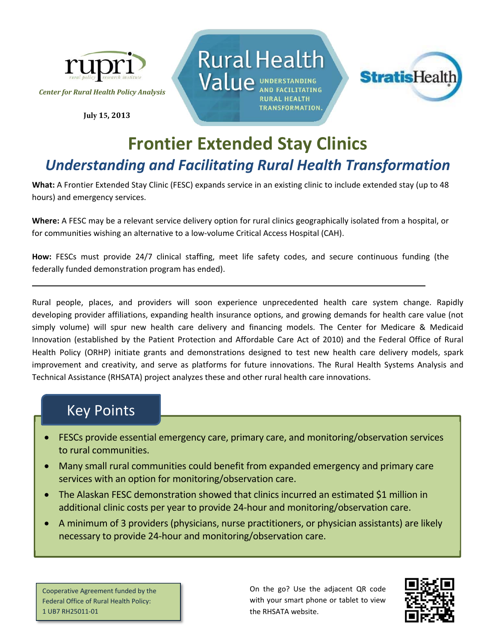

**July 15, 2013**





## **Frontier Extended Stay Clinics**  *Understanding and Facilitating Rural Health Transformation*

**What:** A Frontier Extended Stay Clinic (FESC) expands service in an existing clinic to include extended stay (up to 48 hours) and emergency services.

**Where:** A FESC may be a relevant service delivery option for rural clinics geographically isolated from a hospital, or for communities wishing an alternative to a low-volume Critical Access Hospital (CAH).

**How:** FESCs must provide 24/7 clinical staffing, meet life safety codes, and secure continuous funding (the federally funded demonstration program has ended).

Rural people, places, and providers will soon experience unprecedented health care system change. Rapidly developing provider affiliations, expanding health insurance options, and growing demands for health care value (not simply volume) will spur new health care delivery and financing models. The Center for Medicare & Medicaid Innovation (established by the Patient Protection and Affordable Care Act of 2010) and the Federal Office of Rural Health Policy (ORHP) initiate grants and demonstrations designed to test new health care delivery models, spark improvement and creativity, and serve as platforms for future innovations. The Rural Health Systems Analysis and Technical Assistance (RHSATA) project analyzes these and other rural health care innovations.

## Key Points

- FESCs provide essential emergency care, primary care, and monitoring/observation services to rural communities.
- Many small rural communities could benefit from expanded emergency and primary care services with an option for monitoring/observation care.
- The Alaskan FESC demonstration showed that clinics incurred an estimated \$1 million in additional clinic costs per year to provide 24‐hour and monitoring/observation care.
- A minimum of 3 providers (physicians, nurse practitioners, or physician assistants) are likely necessary to provide 24‐hour and monitoring/observation care.

Cooperative Agreement funded by the Federal Office of Rural Health Policy: 1 UB7 RH25011‐01

On the go? Use the adjacent QR code with your smart phone or tablet to view the RHSATA website.